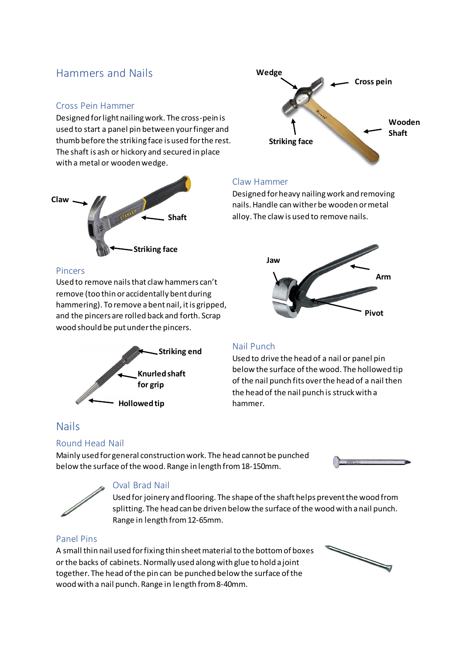## Hammers and Nails

#### Cross Pein Hammer

Designed for light nailing work. The cross-pein is used to start a panel pin between your finger and thumb before the striking face is used for the rest. The shaft is ash or hickory and secured in place with a metal or wooden wedge.





Used to remove nails that claw hammers can't remove (too thin or accidentally bent during hammering). To remove a bent nail, it is gripped, and the pincers are rolled back and forth. Scrap wood should be put under the pincers.



### Nail Punch

Claw Hammer

Used to drive the head of a nail or panel pin below the surface of the wood. The hollowed tip of the nail punch fits over the head of a nail then the head of the nail punch is struck with a hammer.

### Nails

#### Round Head Nail

Mainly used for general construction work. The head cannot be punched below the surface of the wood. Range in length from 18-150mm.





#### Oval Brad Nail

Used for joinery and flooring. The shape of the shaft helps prevent the wood from splitting. The head can be driven below the surface of the wood with a nail punch. Range in length from 12-65mm.

#### Panel Pins

A small thin nail used for fixing thin sheet material to the bottom of boxes or the backs of cabinets. Normally used along with glue to hold a joint together. The head of the pin can be punched below the surface of the wood with a nail punch. Range in length from 8-40mm.







Designed for heavy nailing work and removing nails. Handle can wither be wooden or metal alloy. The claw is used to remove nails.